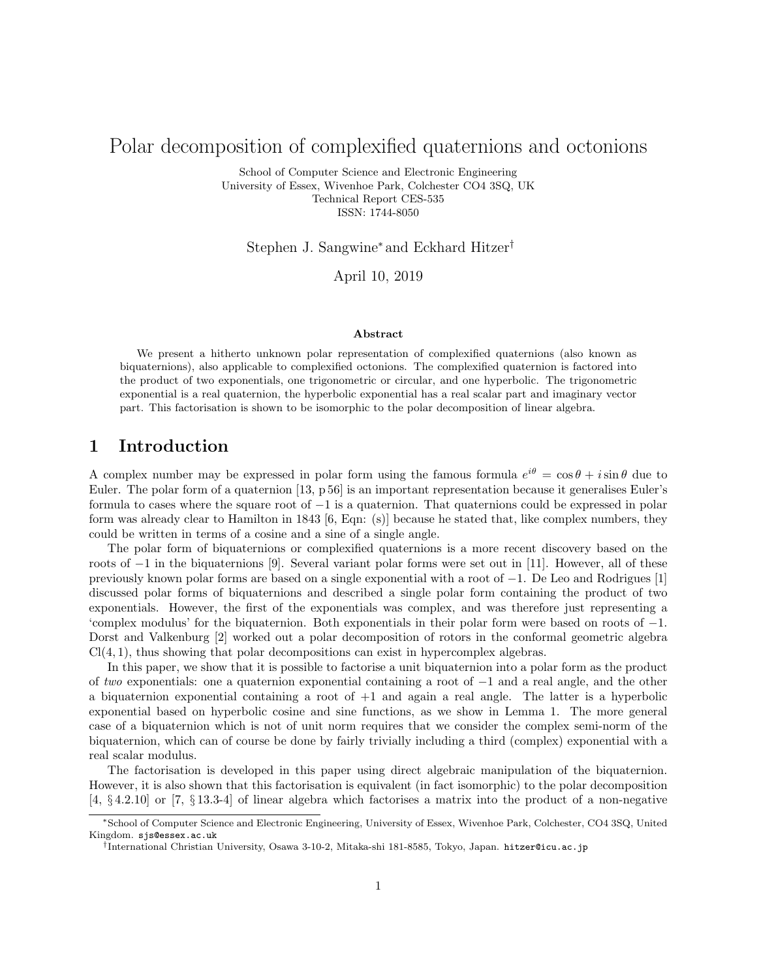# Polar decomposition of complexified quaternions and octonions

School of Computer Science and Electronic Engineering University of Essex, Wivenhoe Park, Colchester CO4 3SQ, UK Technical Report CES-535 ISSN: 1744-8050

Stephen J. Sangwine<sup>∗</sup> and Eckhard Hitzer†

April 10, 2019

#### Abstract

We present a hitherto unknown polar representation of complexified quaternions (also known as biquaternions), also applicable to complexified octonions. The complexified quaternion is factored into the product of two exponentials, one trigonometric or circular, and one hyperbolic. The trigonometric exponential is a real quaternion, the hyperbolic exponential has a real scalar part and imaginary vector part. This factorisation is shown to be isomorphic to the polar decomposition of linear algebra.

# 1 Introduction

A complex number may be expressed in polar form using the famous formula  $e^{i\theta} = \cos \theta + i \sin \theta$  due to Euler. The polar form of a quaternion [13, p 56] is an important representation because it generalises Euler's formula to cases where the square root of −1 is a quaternion. That quaternions could be expressed in polar form was already clear to Hamilton in 1843 [6, Eqn: (s)] because he stated that, like complex numbers, they could be written in terms of a cosine and a sine of a single angle.

The polar form of biquaternions or complexified quaternions is a more recent discovery based on the roots of −1 in the biquaternions [9]. Several variant polar forms were set out in [11]. However, all of these previously known polar forms are based on a single exponential with a root of −1. De Leo and Rodrigues [1] discussed polar forms of biquaternions and described a single polar form containing the product of two exponentials. However, the first of the exponentials was complex, and was therefore just representing a 'complex modulus' for the biquaternion. Both exponentials in their polar form were based on roots of −1. Dorst and Valkenburg [2] worked out a polar decomposition of rotors in the conformal geometric algebra  $Cl(4, 1)$ , thus showing that polar decompositions can exist in hypercomplex algebras.

In this paper, we show that it is possible to factorise a unit biquaternion into a polar form as the product of two exponentials: one a quaternion exponential containing a root of −1 and a real angle, and the other a biquaternion exponential containing a root of  $+1$  and again a real angle. The latter is a hyperbolic exponential based on hyperbolic cosine and sine functions, as we show in Lemma 1. The more general case of a biquaternion which is not of unit norm requires that we consider the complex semi-norm of the biquaternion, which can of course be done by fairly trivially including a third (complex) exponential with a real scalar modulus.

The factorisation is developed in this paper using direct algebraic manipulation of the biquaternion. However, it is also shown that this factorisation is equivalent (in fact isomorphic) to the polar decomposition [4, § 4.2.10] or [7, § 13.3-4] of linear algebra which factorises a matrix into the product of a non-negative

<sup>∗</sup>School of Computer Science and Electronic Engineering, University of Essex, Wivenhoe Park, Colchester, CO4 3SQ, United Kingdom. sjs@essex.ac.uk

<sup>†</sup> International Christian University, Osawa 3-10-2, Mitaka-shi 181-8585, Tokyo, Japan. hitzer@icu.ac.jp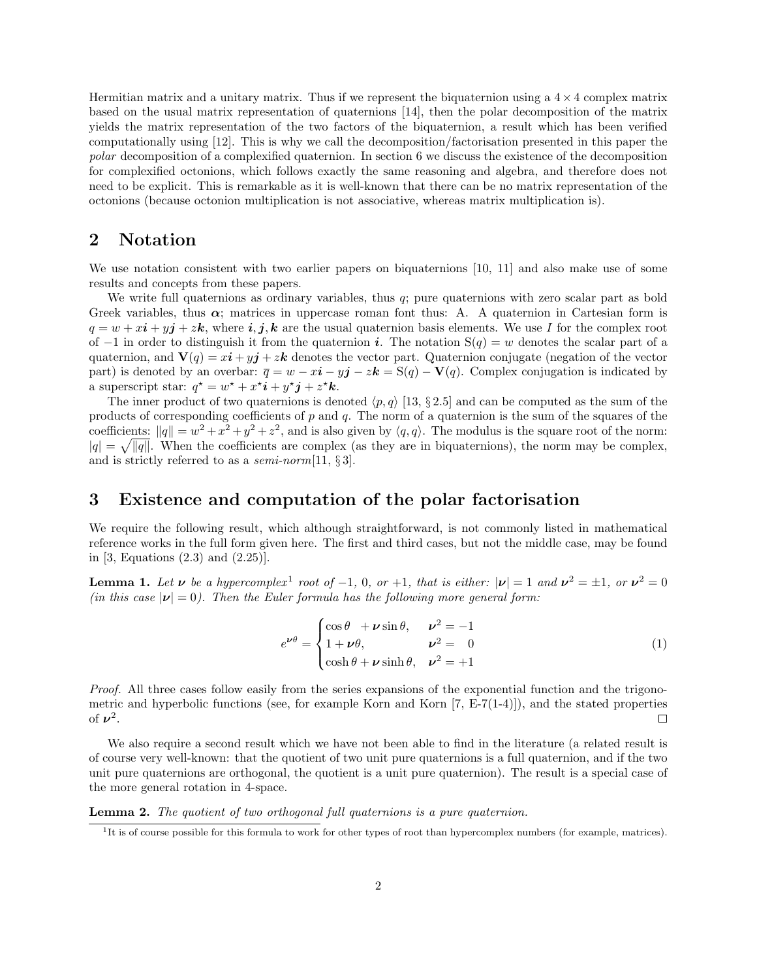Hermitian matrix and a unitary matrix. Thus if we represent the biquaternion using a  $4 \times 4$  complex matrix based on the usual matrix representation of quaternions [14], then the polar decomposition of the matrix yields the matrix representation of the two factors of the biquaternion, a result which has been verified computationally using [12]. This is why we call the decomposition/factorisation presented in this paper the polar decomposition of a complexified quaternion. In section 6 we discuss the existence of the decomposition for complexified octonions, which follows exactly the same reasoning and algebra, and therefore does not need to be explicit. This is remarkable as it is well-known that there can be no matrix representation of the octonions (because octonion multiplication is not associative, whereas matrix multiplication is).

# 2 Notation

We use notation consistent with two earlier papers on biquaternions [10, 11] and also make use of some results and concepts from these papers.

We write full quaternions as ordinary variables, thus q; pure quaternions with zero scalar part as bold Greek variables, thus  $\alpha$ ; matrices in uppercase roman font thus: A. A quaternion in Cartesian form is  $q = w + xi + yj + zk$ , where  $i, j, k$  are the usual quaternion basis elements. We use I for the complex root of −1 in order to distinguish it from the quaternion i. The notation  $S(q) = w$  denotes the scalar part of a quaternion, and  $\mathbf{V}(q) = x\mathbf{i} + y\mathbf{j} + z\mathbf{k}$  denotes the vector part. Quaternion conjugate (negation of the vector part) is denoted by an overbar:  $\overline{q} = w - x\mathbf{i} - y\mathbf{j} - z\mathbf{k} = S(q) - V(q)$ . Complex conjugation is indicated by a superscript star:  $q^* = w^* + x^*i + y^*j + z^*k$ .

The inner product of two quaternions is denoted  $\langle p, q \rangle$  [13, § 2.5] and can be computed as the sum of the products of corresponding coefficients of  $p$  and  $q$ . The norm of a quaternion is the sum of the squares of the coefficients:  $||q|| = w^2 + x^2 + y^2 + z^2$ , and is also given by  $\langle q, q \rangle$ . The modulus is the square root of the norm:  $|q| = \sqrt{|q|}$ . When the coefficients are complex (as they are in biquaternions), the norm may be complex, and is strictly referred to as a *semi-norm* [11,  $\S 3$ ].

### 3 Existence and computation of the polar factorisation

We require the following result, which although straightforward, is not commonly listed in mathematical reference works in the full form given here. The first and third cases, but not the middle case, may be found in [3, Equations (2.3) and (2.25)].

**Lemma 1.** Let  $\nu$  be a hypercomplex<sup>1</sup> root of -1, 0, or +1, that is either:  $|\nu| = 1$  and  $\nu^2 = \pm 1$ , or  $\nu^2 = 0$ (in this case  $|\nu|=0$ ). Then the Euler formula has the following more general form:

$$
e^{\nu\theta} = \begin{cases} \cos\theta + \nu\sin\theta, & \nu^2 = -1\\ 1 + \nu\theta, & \nu^2 = 0\\ \cosh\theta + \nu\sinh\theta, & \nu^2 = +1 \end{cases}
$$
 (1)

Proof. All three cases follow easily from the series expansions of the exponential function and the trigonometric and hyperbolic functions (see, for example Korn and Korn  $(7, E-7(1-4))$ ), and the stated properties of  $\nu^2$ .  $\Box$ 

We also require a second result which we have not been able to find in the literature (a related result is of course very well-known: that the quotient of two unit pure quaternions is a full quaternion, and if the two unit pure quaternions are orthogonal, the quotient is a unit pure quaternion). The result is a special case of the more general rotation in 4-space.

Lemma 2. The quotient of two orthogonal full quaternions is a pure quaternion.

<sup>&</sup>lt;sup>1</sup>It is of course possible for this formula to work for other types of root than hypercomplex numbers (for example, matrices).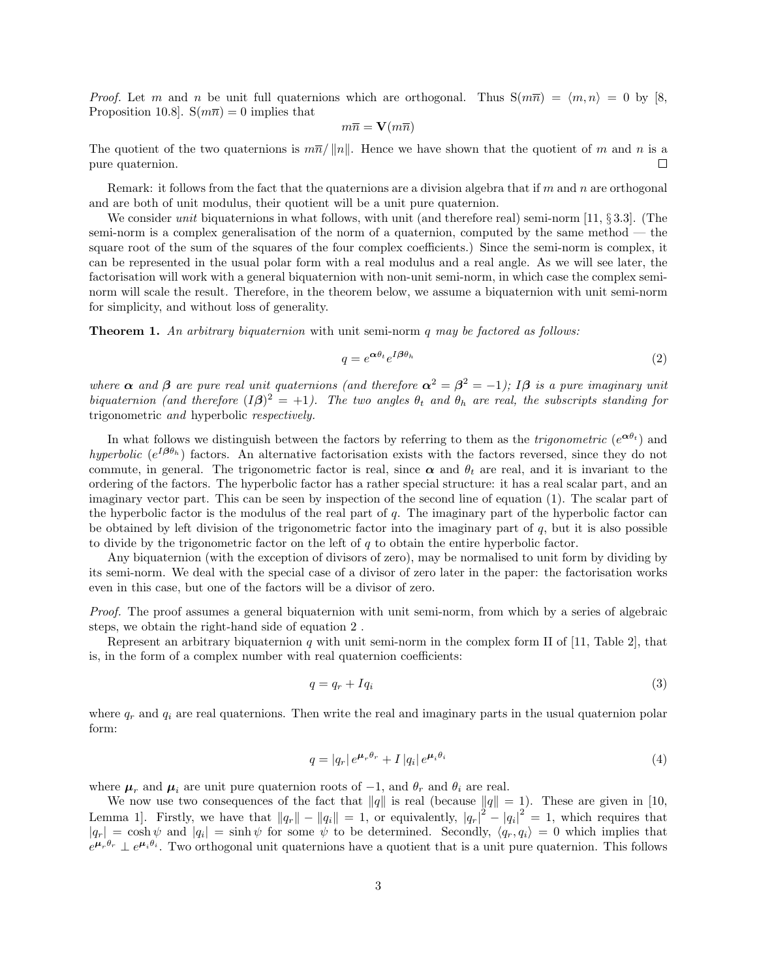*Proof.* Let m and n be unit full quaternions which are orthogonal. Thus  $S(m\overline{n}) = \langle m, n \rangle = 0$  by [8, Proposition 10.8].  $S(m\overline{n}) = 0$  implies that

$$
m\overline{n}=\mathbf{V}(m\overline{n})
$$

The quotient of the two quaternions is  $m\overline{n}/||n||$ . Hence we have shown that the quotient of m and n is a pure quaternion.  $\Box$ 

Remark: it follows from the fact that the quaternions are a division algebra that if  $m$  and  $n$  are orthogonal and are both of unit modulus, their quotient will be a unit pure quaternion.

We consider *unit* biquaternions in what follows, with unit (and therefore real) semi-norm [11, § 3.3]. (The semi-norm is a complex generalisation of the norm of a quaternion, computed by the same method  $-$  the square root of the sum of the squares of the four complex coefficients.) Since the semi-norm is complex, it can be represented in the usual polar form with a real modulus and a real angle. As we will see later, the factorisation will work with a general biquaternion with non-unit semi-norm, in which case the complex seminorm will scale the result. Therefore, in the theorem below, we assume a biquaternion with unit semi-norm for simplicity, and without loss of generality.

**Theorem 1.** An arbitrary biquaternion with unit semi-norm  $q$  may be factored as follows:

$$
q = e^{\alpha \theta_t} e^{I \beta \theta_h} \tag{2}
$$

where  $\alpha$  and  $\beta$  are pure real unit quaternions (and therefore  $\alpha^2 = \beta^2 = -1$ ); I $\beta$  is a pure imaginary unit biquaternion (and therefore  $(I\beta)^2 = +1$ ). The two angles  $\theta_t$  and  $\theta_h$  are real, the subscripts standing for trigonometric and hyperbolic respectively.

In what follows we distinguish between the factors by referring to them as the *trigonometric*  $(e^{\alpha\theta_t})$  and hyperbolic ( $e^{I\beta\theta_h}$ ) factors. An alternative factorisation exists with the factors reversed, since they do not commute, in general. The trigonometric factor is real, since  $\alpha$  and  $\theta_t$  are real, and it is invariant to the ordering of the factors. The hyperbolic factor has a rather special structure: it has a real scalar part, and an imaginary vector part. This can be seen by inspection of the second line of equation (1). The scalar part of the hyperbolic factor is the modulus of the real part of  $q$ . The imaginary part of the hyperbolic factor can be obtained by left division of the trigonometric factor into the imaginary part of  $q$ , but it is also possible to divide by the trigonometric factor on the left of  $q$  to obtain the entire hyperbolic factor.

Any biquaternion (with the exception of divisors of zero), may be normalised to unit form by dividing by its semi-norm. We deal with the special case of a divisor of zero later in the paper: the factorisation works even in this case, but one of the factors will be a divisor of zero.

Proof. The proof assumes a general biquaternion with unit semi-norm, from which by a series of algebraic steps, we obtain the right-hand side of equation 2 .

Represent an arbitrary biquaternion  $q$  with unit semi-norm in the complex form II of [11, Table 2], that is, in the form of a complex number with real quaternion coefficients:

$$
q = q_r + Iq_i \tag{3}
$$

where  $q_r$  and  $q_i$  are real quaternions. Then write the real and imaginary parts in the usual quaternion polar form:

$$
q = |q_r| e^{\mu_r \theta_r} + I |q_i| e^{\mu_i \theta_i}
$$
\n<sup>(4)</sup>

where  $\mu_r$  and  $\mu_i$  are unit pure quaternion roots of  $-1$ , and  $\theta_r$  and  $\theta_i$  are real.

We now use two consequences of the fact that  $||q||$  is real (because  $||q|| = 1$ ). These are given in [10, Lemma 1]. Firstly, we have that  $||q_r|| - ||q_i|| = 1$ , or equivalently,  $|q_r|^2 - |q_i|^2 = 1$ , which requires that  $|q_r| = \cosh \psi$  and  $|q_i| = \sinh \psi$  for some  $\psi$  to be determined. Secondly,  $\langle q_r, q_i \rangle = 0$  which implies that  $e^{\mu_r\theta_r} \perp e^{\mu_i\theta_i}$ . Two orthogonal unit quaternions have a quotient that is a unit pure quaternion. This follows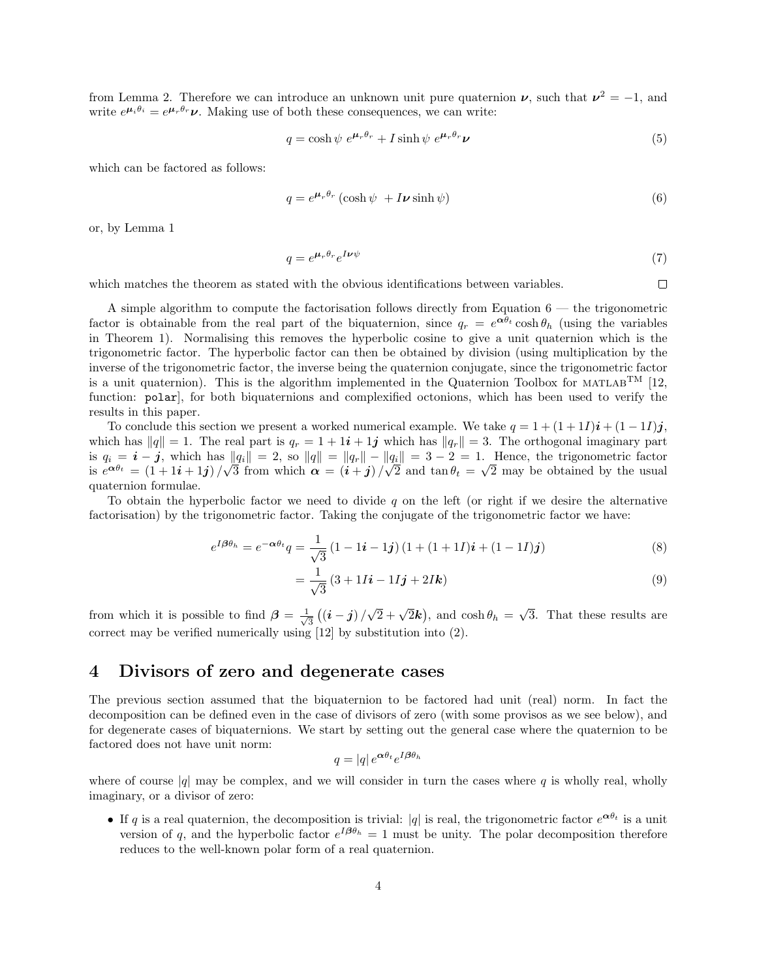from Lemma 2. Therefore we can introduce an unknown unit pure quaternion  $\nu$ , such that  $\nu^2 = -1$ , and write  $e^{\mu_i \theta_i} = e^{\mu_r \theta_r} \nu$ . Making use of both these consequences, we can write:

$$
q = \cosh \psi \ e^{\mu_r \theta_r} + I \sinh \psi \ e^{\mu_r \theta_r} \nu \tag{5}
$$

which can be factored as follows:

$$
q = e^{\mu_r \theta_r} (\cosh \psi + I \nu \sinh \psi) \tag{6}
$$

or, by Lemma 1

$$
q = e^{\mu_r \theta_r} e^{I \nu \psi} \tag{7}
$$

 $\Box$ 

which matches the theorem as stated with the obvious identifications between variables.

A simple algorithm to compute the factorisation follows directly from Equation  $6$  — the trigonometric factor is obtainable from the real part of the biquaternion, since  $q_r = e^{\alpha \theta_t} \cosh \theta_h$  (using the variables in Theorem 1). Normalising this removes the hyperbolic cosine to give a unit quaternion which is the trigonometric factor. The hyperbolic factor can then be obtained by division (using multiplication by the inverse of the trigonometric factor, the inverse being the quaternion conjugate, since the trigonometric factor is a unit quaternion). This is the algorithm implemented in the Quaternion Toolbox for MATLAB<sup>TM</sup> [12, function: polar), for both biquaternions and complexified octonions, which has been used to verify the results in this paper.

To conclude this section we present a worked numerical example. We take  $q = 1 + (1 + 1I)\mathbf{i} + (1 - 1I)\mathbf{j}$ , which has  $||q|| = 1$ . The real part is  $q_r = 1 + 1i + 1j$  which has  $||q_r|| = 3$ . The orthogonal imaginary part is  $q_i = i - j$ , which has  $||q_i|| = 2$ , so  $||q|| = ||q_r|| - ||q_i|| = 3 - 2 = 1$ . Hence, the trigonometric factor is  $q_i = \boldsymbol{i} - \boldsymbol{j}$ , which has  $\sin \theta_i \propto \cos \theta_i$ ,  $\sin \theta_i \propto \cos \theta_i$ 3 from which  $\alpha = (i + j)$  $\mathbb{q}$ 2 and  $\tan \theta_t =$ √ 2 may be obtained by the usual quaternion formulae.

To obtain the hyperbolic factor we need to divide  $q$  on the left (or right if we desire the alternative factorisation) by the trigonometric factor. Taking the conjugate of the trigonometric factor we have:

$$
e^{I\beta\theta_h} = e^{-\alpha\theta_t}q = \frac{1}{\sqrt{3}}\left(1 - 1i - 1j\right)\left(1 + (1 + 1I)i + (1 - 1I)j\right)
$$
\n(8)

$$
=\frac{1}{\sqrt{3}}(3+1I\mathbf{i}-1I\mathbf{j}+2I\mathbf{k})
$$
\n(9)

from which it is possible to find  $\beta = \frac{1}{4}$  $_{\overline{\overline{3}}}\left( \left( \boldsymbol{i}-\boldsymbol{j}\right) /% {\overline{\overline{3}}}\left( \left( \boldsymbol{i}-\boldsymbol{j}\right) \right) \right)$  $\sqrt{2} + \sqrt{2}k$ , and  $\cosh \theta_h =$ √ 3. That these results are correct may be verified numerically using [12] by substitution into (2).

#### 4 Divisors of zero and degenerate cases

The previous section assumed that the biquaternion to be factored had unit (real) norm. In fact the decomposition can be defined even in the case of divisors of zero (with some provisos as we see below), and for degenerate cases of biquaternions. We start by setting out the general case where the quaternion to be factored does not have unit norm:

$$
q = |q| e^{\alpha \theta_t} e^{I \beta \theta_h}
$$

where of course  $|q|$  may be complex, and we will consider in turn the cases where q is wholly real, wholly imaginary, or a divisor of zero:

• If q is a real quaternion, the decomposition is trivial: |q| is real, the trigonometric factor  $e^{\alpha\theta_t}$  is a unit version of q, and the hyperbolic factor  $e^{I\beta\theta_h} = 1$  must be unity. The polar decomposition therefore reduces to the well-known polar form of a real quaternion.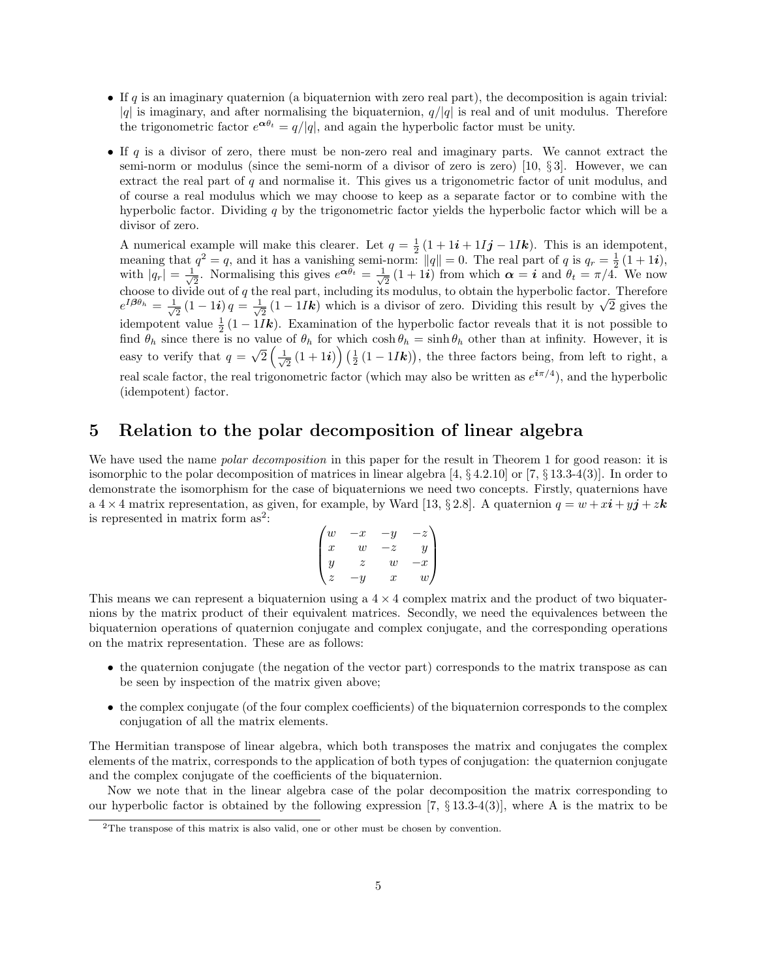- If q is an imaginary quaternion (a biquaternion with zero real part), the decomposition is again trivial:  $|q|$  is imaginary, and after normalising the biquaternion,  $q/|q|$  is real and of unit modulus. Therefore the trigonometric factor  $e^{\alpha \theta_t} = q/|q|$ , and again the hyperbolic factor must be unity.
- If  $q$  is a divisor of zero, there must be non-zero real and imaginary parts. We cannot extract the semi-norm or modulus (since the semi-norm of a divisor of zero is zero) [10,  $\S 3$ ]. However, we can extract the real part of q and normalise it. This gives us a trigonometric factor of unit modulus, and of course a real modulus which we may choose to keep as a separate factor or to combine with the hyperbolic factor. Dividing  $q$  by the trigonometric factor yields the hyperbolic factor which will be a divisor of zero.

A numerical example will make this clearer. Let  $q = \frac{1}{2}(1 + 1i + 11j - 11k)$ . This is an idempotent, meaning that  $q^2 = q$ , and it has a vanishing semi-norm:  $||q|| = 0$ . The real part of q is  $q_r = \frac{1}{2}(1 + 1i)$ , with  $|q_r| = \frac{1}{\sqrt{2}}$  $\frac{1}{2}$ . Normalising this gives  $e^{\mathbf{\alpha} \theta_t} = \frac{1}{\sqrt{2}}$  $\frac{1}{2}(1+1i)$  from which  $\alpha = i$  and  $\theta_t = \pi/4$ . We now choose to divide out of  $q$  the real part, including its modulus, to obtain the hyperbolic factor. Therefore  $e^{I\boldsymbol{\beta}\theta_h}=\frac{1}{\sqrt{2}}$  $\frac{1}{2}\left(1-1\boldsymbol{i}\right)q=\frac{1}{\sqrt{2}}$ e real part, including its modulus, to obtain the hyperbolic factor. Therefore  $\frac{1}{2}(1-1I\mathbf{k})$  which is a divisor of zero. Dividing this result by  $\sqrt{2}$  gives the idempotent value  $\frac{1}{2}(1-1I\mathbf{k})$ . Examination of the hyperbolic factor reveals that it is not possible to find  $\theta_h$  since there is no value of  $\theta_h$  for which  $\cosh \theta_h = \sinh \theta_h$  other than at infinity. However, it is easy to verify that  $q =$ √  $\overline{2}\left(\frac{1}{\sqrt{2}}\right)$  $\frac{1}{2}(1+1i)\right)\left(\frac{1}{2}(1-1Ik)\right)$ , the three factors being, from left to right, a real scale factor, the real trigonometric factor (which may also be written as  $e^{i\pi/4}$ ), and the hyperbolic (idempotent) factor.

# 5 Relation to the polar decomposition of linear algebra

We have used the name *polar decomposition* in this paper for the result in Theorem 1 for good reason: it is isomorphic to the polar decomposition of matrices in linear algebra [4, § 4.2.10] or [7, § 13.3-4(3)]. In order to demonstrate the isomorphism for the case of biquaternions we need two concepts. Firstly, quaternions have a 4  $\times$  4 matrix representation, as given, for example, by Ward [13, § 2.8]. A quaternion  $q = w + xi + yj + zk$ is represented in matrix form  $as^2$ :

$$
\begin{pmatrix} w & -x & -y & -z \\ x & w & -z & y \\ y & z & w & -x \\ z & -y & x & w \end{pmatrix}
$$

This means we can represent a biquaternion using a  $4 \times 4$  complex matrix and the product of two biquaternions by the matrix product of their equivalent matrices. Secondly, we need the equivalences between the biquaternion operations of quaternion conjugate and complex conjugate, and the corresponding operations on the matrix representation. These are as follows:

- the quaternion conjugate (the negation of the vector part) corresponds to the matrix transpose as can be seen by inspection of the matrix given above;
- the complex conjugate (of the four complex coefficients) of the biquaternion corresponds to the complex conjugation of all the matrix elements.

The Hermitian transpose of linear algebra, which both transposes the matrix and conjugates the complex elements of the matrix, corresponds to the application of both types of conjugation: the quaternion conjugate and the complex conjugate of the coefficients of the biquaternion.

Now we note that in the linear algebra case of the polar decomposition the matrix corresponding to our hyperbolic factor is obtained by the following expression [7,  $\S 13.3-4(3)$ ], where A is the matrix to be

<sup>2</sup>The transpose of this matrix is also valid, one or other must be chosen by convention.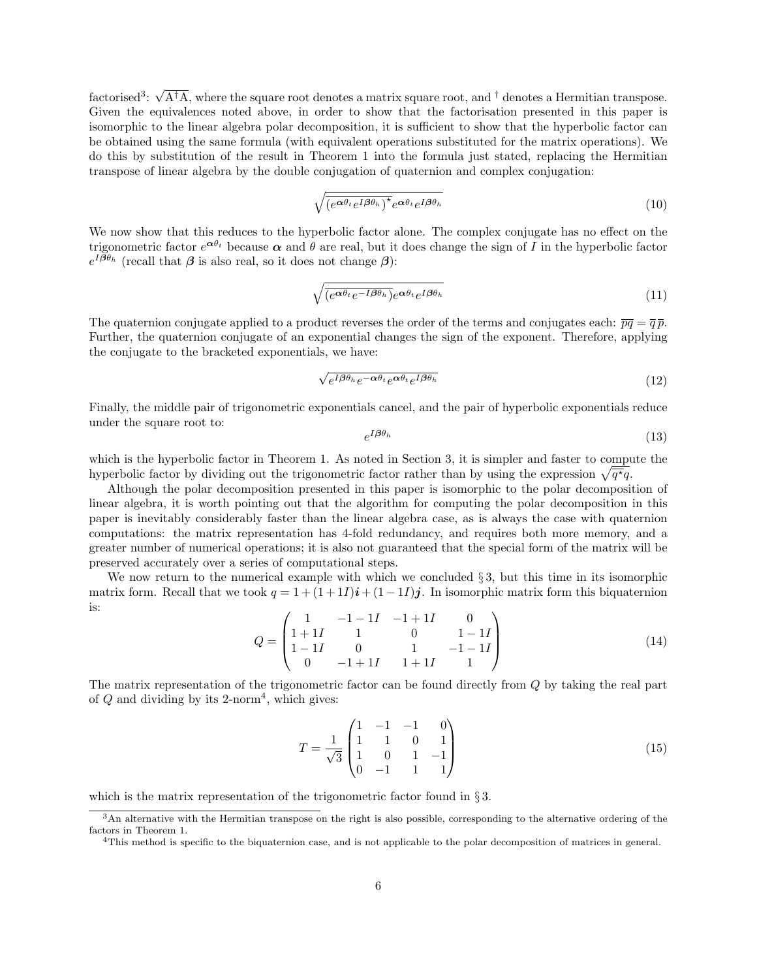factorised<sup>3</sup>:  $\sqrt{A^{\dagger}A}$ , where the square root denotes a matrix square root, and <sup>†</sup> denotes a Hermitian transpose. Given the equivalences noted above, in order to show that the factorisation presented in this paper is isomorphic to the linear algebra polar decomposition, it is sufficient to show that the hyperbolic factor can be obtained using the same formula (with equivalent operations substituted for the matrix operations). We do this by substitution of the result in Theorem 1 into the formula just stated, replacing the Hermitian transpose of linear algebra by the double conjugation of quaternion and complex conjugation:

$$
\sqrt{\overline{(e^{\alpha\theta_t}e^{I\beta\theta_h})^*}e^{\alpha\theta_t}e^{I\beta\theta_h}}
$$
\n(10)

We now show that this reduces to the hyperbolic factor alone. The complex conjugate has no effect on the trigonometric factor  $e^{\alpha\theta_t}$  because  $\alpha$  and  $\theta$  are real, but it does change the sign of I in the hyperbolic factor  $e^{I\beta\theta_h}$  (recall that  $\beta$  is also real, so it does not change  $\beta$ ):

$$
\sqrt{\overline{(e^{\alpha\theta_t}e^{-I\beta\theta_h})}}e^{\alpha\theta_t}e^{I\beta\theta_h}
$$
\n(11)

The quaternion conjugate applied to a product reverses the order of the terms and conjugates each:  $\overline{pq} = \overline{q} \overline{p}$ . Further, the quaternion conjugate of an exponential changes the sign of the exponent. Therefore, applying the conjugate to the bracketed exponentials, we have:

$$
\sqrt{e^{I\beta\theta_h}e^{-\alpha\theta_t}e^{\alpha\theta_t}e^{I\beta\theta_h}}\tag{12}
$$

Finally, the middle pair of trigonometric exponentials cancel, and the pair of hyperbolic exponentials reduce under the square root to:

$$
e^{I\beta\theta_h} \tag{13}
$$

which is the hyperbolic factor in Theorem 1. As noted in Section 3, it is simpler and faster to compute the hyperbolic factor by dividing out the trigonometric factor rather than by using the expression  $\sqrt{\overline{q^*q}}$ .

Although the polar decomposition presented in this paper is isomorphic to the polar decomposition of linear algebra, it is worth pointing out that the algorithm for computing the polar decomposition in this paper is inevitably considerably faster than the linear algebra case, as is always the case with quaternion computations: the matrix representation has 4-fold redundancy, and requires both more memory, and a greater number of numerical operations; it is also not guaranteed that the special form of the matrix will be preserved accurately over a series of computational steps.

We now return to the numerical example with which we concluded  $\S 3$ , but this time in its isomorphic matrix form. Recall that we took  $q = 1 + (1 + 1I)\mathbf{i} + (1 - 1I)\mathbf{j}$ . In isomorphic matrix form this biquaternion is:

$$
Q = \begin{pmatrix} 1 & -1 - 1I & -1 + 1I & 0 \\ 1 + 1I & 1 & 0 & 1 - 1I \\ 1 - 1I & 0 & 1 & -1 - 1I \\ 0 & -1 + 1I & 1 + 1I & 1 \end{pmatrix}
$$
(14)

The matrix representation of the trigonometric factor can be found directly from Q by taking the real part of  $Q$  and dividing by its 2-norm<sup>4</sup>, which gives:

$$
T = \frac{1}{\sqrt{3}} \begin{pmatrix} 1 & -1 & -1 & 0 \\ 1 & 1 & 0 & 1 \\ 1 & 0 & 1 & -1 \\ 0 & -1 & 1 & 1 \end{pmatrix}
$$
 (15)

which is the matrix representation of the trigonometric factor found in  $\S 3$ .

<sup>3</sup>An alternative with the Hermitian transpose on the right is also possible, corresponding to the alternative ordering of the factors in Theorem 1.

<sup>&</sup>lt;sup>4</sup>This method is specific to the biquaternion case, and is not applicable to the polar decomposition of matrices in general.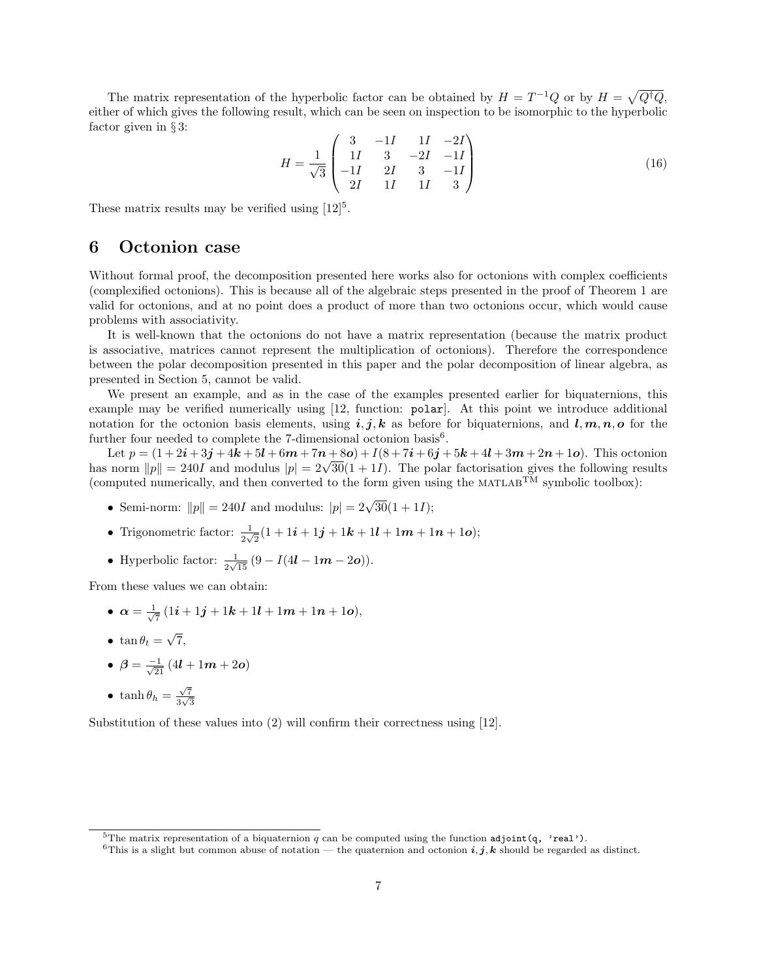The matrix representation of the hyperbolic factor can be obtained by  $H = T^{-1}Q$  or by  $H = \sqrt{Q^{\dagger}Q}$ , either of which gives the following result, which can be seen on inspection to be isomorphic to the hyperbolic factor given in § 3:

$$
H = \frac{1}{\sqrt{3}} \begin{pmatrix} 3 & -1I & 1I & -2I \\ 1I & 3 & -2I & -1I \\ -1I & 2I & 3 & -1I \\ 2I & 1I & 1I & 3 \end{pmatrix}
$$
 (16)

These matrix results may be verified using  $[12]^{5}$ .

## 6 Octonion case

Without formal proof, the decomposition presented here works also for octonions with complex coefficients (complexified octonions). This is because all of the algebraic steps presented in the proof of Theorem 1 are valid for octonions, and at no point does a product of more than two octonions occur, which would cause problems with associativity.

It is well-known that the octonions do not have a matrix representation (because the matrix product is associative, matrices cannot represent the multiplication of octonions). Therefore the correspondence between the polar decomposition presented in this paper and the polar decomposition of linear algebra, as presented in Section 5, cannot be valid.

We present an example, and as in the case of the examples presented earlier for biquaternions, this example may be verified numerically using [12, function: polar]. At this point we introduce additional notation for the octonion basis elements, using i, j, k as before for biquaternions, and  $l, m, n, o$  for the further four needed to complete the 7-dimensional octonion basis<sup>6</sup>.

Let  $p = (1 + 2i + 3j + 4k + 5l + 6m + 7n + 8o) + l(8 + 7i + 6j + 5k + 4l + 3m + 2n + 1o)$ . This octonion Let  $p = (1 + 2i + 3j + 4k + 5i + 6m + (n + 80) + 1(8 + (i + 6j + 5k + 4i + 3m + 2n + 10)$ . This octonion<br>has norm  $||p|| = 240I$  and modulus  $|p| = 2\sqrt{30}(1 + 1I)$ . The polar factorisation gives the following results (computed numerically, and then converted to the form given using the  $MATLAB^{TM}$  symbolic toolbox):

- Semi-norm:  $||p|| = 240I$  and modulus:  $|p| = 2\sqrt{30}(1 + 1I);$
- Trigonometric factor:  $\frac{1}{2\sqrt{2}}(1+1i+1j+1k+1l+1m+1n+1o);$
- Hyperbolic factor:  $\frac{1}{2\sqrt{15}}(9 I(4l 1m 2o)).$

From these values we can obtain:

- $\bullet \ \alpha = \frac{1}{\sqrt{2}}$  $\frac{1}{7}(1i+1j+1k+1l+1m+1n+1o),$
- tan  $\theta_t =$ √ 7,
- $\bullet$   $\beta = \frac{-1}{\sqrt{21}}(4l + 1m + 2o)$
- tanh  $\theta_h = \frac{\sqrt{7}}{3\sqrt{3}}$  $rac{\sqrt{7}}{3\sqrt{3}}$

Substitution of these values into (2) will confirm their correctness using [12].

<sup>&</sup>lt;sup>5</sup>The matrix representation of a biquaternion q can be computed using the function adjoint(q, 'real').

<sup>&</sup>lt;sup>6</sup>This is a slight but common abuse of notation — the quaternion and octonion  $i, j, k$  should be regarded as distinct.